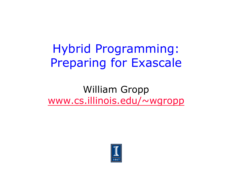### Hybrid Programming: Preparing for Exascale

William Gropp www.cs.illinois.edu/~wgropp

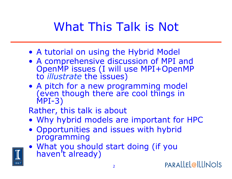# What This Talk is Not

- A tutorial on using the Hybrid Model
- A comprehensive discussion of MPI and OpenMP issues (I will use MPI+OpenMP to *illustrate* the issues)
- A pitch for a new programming model (even though there are cool things in MPI-3)

Rather, this talk is about

- Why hybrid models are important for HPC
- Opportunities and issues with hybrid programming
- What you should start doing (if you haven't already)

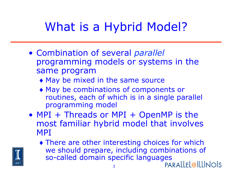# What is a Hybrid Model?

- Combination of several *parallel* programming models or systems in the same program
	- ♦ May be mixed in the same source
	- ♦ May be combinations of components or routines, each of which is in a single parallel programming model
- MPI + Threads or MPI + OpenMP is the most familiar hybrid model that involves MPI

3

♦ There are other interesting choices for which we should prepare, including combinations of so-called domain specific languages

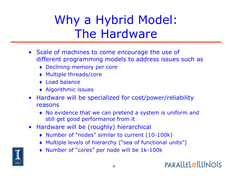# Why a Hybrid Model: The Hardware

- Scale of machines to come encourage the use of different programming models to address issues such as
	- ♦ Declining memory per core
	- ♦ Multiple threads/core
	- ♦ Load balance
	- ♦ Algorithmic issues
- Hardware will be specialized for cost/power/reliability reasons
	- ♦ No evidence that we can pretend a system is uniform and still get good performance from it
- Hardware will be (roughly) hierarchical
	- ♦ Number of "nodes" similar to current (10-100k)
	- ♦ Multiple levels of hierarchy ("sea of functional units")
	- ♦ Number of "cores" per node will be 1k-100k

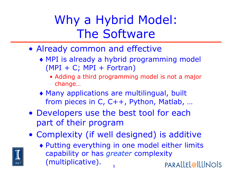# Why a Hybrid Model: The Software

- Already common and effective
	- ♦ MPI is already a hybrid programming model  $(MPI + C; MPI + Fortran)$ 
		- Adding a third programming model is not a major change…
	- ♦ Many applications are multilingual, built from pieces in C, C++, Python, Matlab, …
- Developers use the best tool for each part of their program
- Complexity (if well designed) is additive
	- ♦ Putting everything in one model either limits capability or has *greater* complexity (multiplicative). **PARALLEL@ILLINOIS** 5

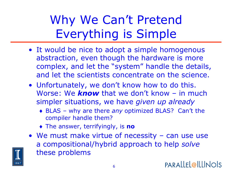Why We Can't Pretend Everything is Simple

- It would be nice to adopt a simple homogenous abstraction, even though the hardware is more complex, and let the "system" handle the details, and let the scientists concentrate on the science.
- Unfortunately, we don't know how to do this. Worse: We *know* that we don't know – in much simpler situations, we have *given up already* 
	- ♦ BLAS why are there *any* optimized BLAS? Can't the compiler handle them?
	- ♦ The answer, terrifyingly, is **no**
- We must make virtue of necessity can use use a compositional/hybrid approach to help *solve* these problems

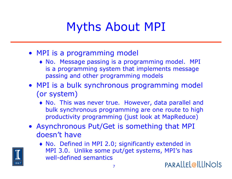### Myths About MPI

- MPI is a programming model
	- ♦ No. Message passing is a programming model. MPI is a programming system that implements message passing and other programming models
- MPI is a bulk synchronous programming model (or system)
	- ♦ No. This was never true. However, data parallel and bulk synchronous programming are one route to high productivity programming (just look at MapReduce)
- Asynchronous Put/Get is something that MPI doesn't have



♦ No. Defined in MPI 2.0; significantly extended in MPI 3.0. Unlike some put/get systems, MPI's has well-defined semantics

**PARALLEL@ILLINOIS**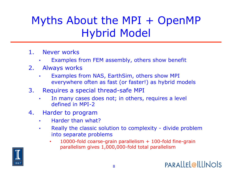### Myths About the MPI + OpenMP Hybrid Model

- 1. Never works
	- Examples from FEM assembly, others show benefit
- 2. Always works
	- Examples from NAS, EarthSim, others show MPI everywhere often as fast (or faster!) as hybrid models
- 3. Requires a special thread-safe MPI
	- In many cases does not; in others, requires a level defined in MPI-2

8

- 4. Harder to program
	- Harder than what?
	- Really the classic solution to complexity divide problem into separate problems
		- 10000-fold coarse-grain parallelism  $+$  100-fold fine-grain parallelism gives 1,000,000-fold total parallelism

**PARALLEL@ILLINOIS** 

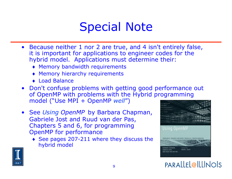### Special Note

- Because neither 1 nor 2 are true, and 4 isn't entirely false, it is important for applications to engineer codes for the hybrid model. Applications must determine their:
	- ♦ Memory bandwidth requirements
	- ♦ Memory hierarchy requirements
	- ♦ Load Balance
- Don't confuse problems with getting good performance out of OpenMP with problems with the Hybrid programming model ("Use MPI + OpenMP *well*")
- See *Using OpenMP* by Barbara Chapman, Gabriele Jost and Ruud van der Pas, Chapters 5 and 6, for programming OpenMP for performance
	- ♦ See pages 207-211 where they discuss the hybrid model





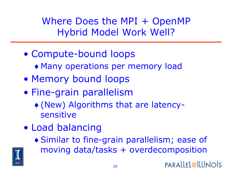Where Does the MPI + OpenMP Hybrid Model Work Well?

- Compute-bound loops
	- ♦ Many operations per memory load
- Memory bound loops
- Fine-grain parallelism
	- ♦ (New) Algorithms that are latencysensitive
- Load balancing
	- ♦ Similar to fine-grain parallelism; ease of moving data/tasks + overdecomposition

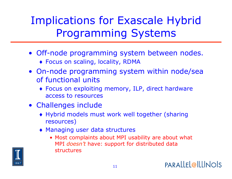#### Implications for Exascale Hybrid Programming Systems

- Off-node programming system between nodes.
	- ♦ Focus on scaling, locality, RDMA
- On-node programming system within node/sea of functional units
	- ♦ Focus on exploiting memory, ILP, direct hardware access to resources
- Challenges include
	- ♦ Hybrid models must work well together (sharing resources)

11

- ♦ Managing user data structures
	- Most complaints about MPI usability are about what MPI *doesn't* have: support for distributed data structures

**PARALLEL@ILLINOIS** 

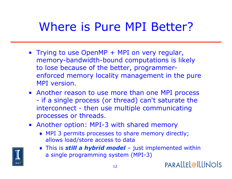### Where is Pure MPI Better?

- Trying to use OpenMP + MPI on very regular, memory-bandwidth-bound computations is likely to lose because of the better, programmerenforced memory locality management in the pure MPI version.
- Another reason to use more than one MPI process - if a single process (or thread) can't saturate the interconnect - then use multiple communicating processes or threads.
- Another option: MPI-3 with shared memory
	- ♦ MPI 3 permits processes to share memory directly; allows load/store access to data
	- ♦ This is *still a hybrid model*  just implemented within a single programming system (MPI-3)



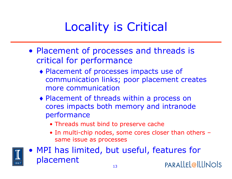# Locality is Critical

- Placement of processes and threads is critical for performance
	- ♦ Placement of processes impacts use of communication links; poor placement creates more communication
	- ♦ Placement of threads within a process on cores impacts both memory and intranode performance
		- Threads must bind to preserve cache
		- In multi-chip nodes, some cores closer than others same issue as processes



• MPI has limited, but useful, features for placement **PARALLEL@ILLINOIS**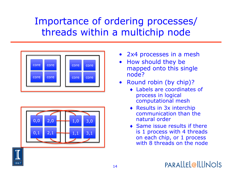#### Importance of ordering processes/ threads within a multichip node





- 2x4 processes in a mesh
- How should they be mapped onto this single node?
- Round robin (by chip)?
	- ♦ Labels are coordinates of process in logical computational mesh
	- ♦ Results in 3x interchip communication than the natural order
	- $\bullet$  Same issue results if there is 1 process with 4 threads on each chip, or 1 process with 8 threads on the node



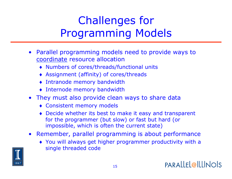### Challenges for Programming Models

- Parallel programming models need to provide ways to coordinate resource allocation
	- ♦ Numbers of cores/threads/functional units
	- ♦ Assignment (affinity) of cores/threads
	- ♦ Intranode memory bandwidth
	- ♦ Internode memory bandwidth
- They must also provide clean ways to share data
	- ♦ Consistent memory models
	- ♦ Decide whether its best to make it easy and transparent for the programmer (but slow) or fast but hard (or impossible, which is often the current state)
- Remember, parallel programming is about performance
	- ♦ You will always get higher programmer productivity with a single threaded code

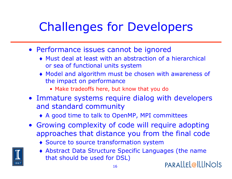# Challenges for Developers

- Performance issues cannot be ignored
	- ♦ Must deal at least with an abstraction of a hierarchical or sea of functional units system
	- ♦ Model and algorithm must be chosen with awareness of the impact on performance
		- Make tradeoffs here, but know that you do
- Immature systems require dialog with developers and standard community
	- ♦ A good time to talk to OpenMP, MPI committees
- Growing complexity of code will require adopting approaches that distance you from the final code
	- ♦ Source to source transformation system
	- ♦ Abstract Data Structure Specific Languages (the name that should be used for DSL) PARALLEL@ILLINOIS

16